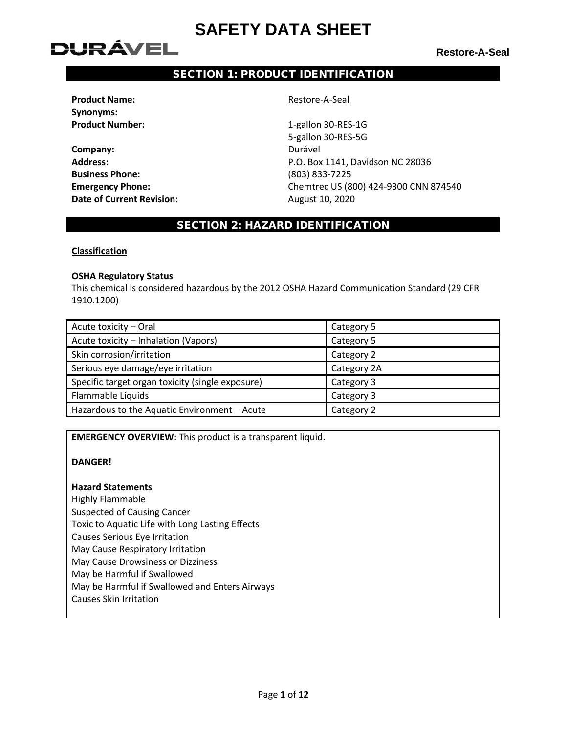# **DURÁVEL**

**Restore-A-Seal**

# SECTION 1: PRODUCT IDENTIFICATION

**Product Name:**  $\qquad \qquad$  Restore-A-Seal **Synonyms:**

**Company:** Durável **Business Phone:** (803) 833-7225 **Date of Current Revision:** August 10, 2020

**Product Number:** 1-gallon 30-RES-1G 5-gallon 30-RES-5G **Address:** P.O. Box 1141, Davidson NC 28036 **Emergency Phone:** Chemtrec US (800) 424-9300 CNN 874540

# SECTION 2: HAZARD IDENTIFICATION

**Classification**

### **OSHA Regulatory Status**

This chemical is considered hazardous by the 2012 OSHA Hazard Communication Standard (29 CFR 1910.1200)

| Acute toxicity - Oral                            | Category 5  |
|--------------------------------------------------|-------------|
| Acute toxicity - Inhalation (Vapors)             | Category 5  |
| Skin corrosion/irritation                        | Category 2  |
| Serious eye damage/eye irritation                | Category 2A |
| Specific target organ toxicity (single exposure) | Category 3  |
| Flammable Liquids                                | Category 3  |
| Hazardous to the Aquatic Environment - Acute     | Category 2  |

**EMERGENCY OVERVIEW**: This product is a transparent liquid.

### **DANGER!**

### **Hazard Statements**

Highly Flammable Suspected of Causing Cancer Toxic to Aquatic Life with Long Lasting Effects Causes Serious Eye Irritation May Cause Respiratory Irritation May Cause Drowsiness or Dizziness May be Harmful if Swallowed May be Harmful if Swallowed and Enters Airways Causes Skin Irritation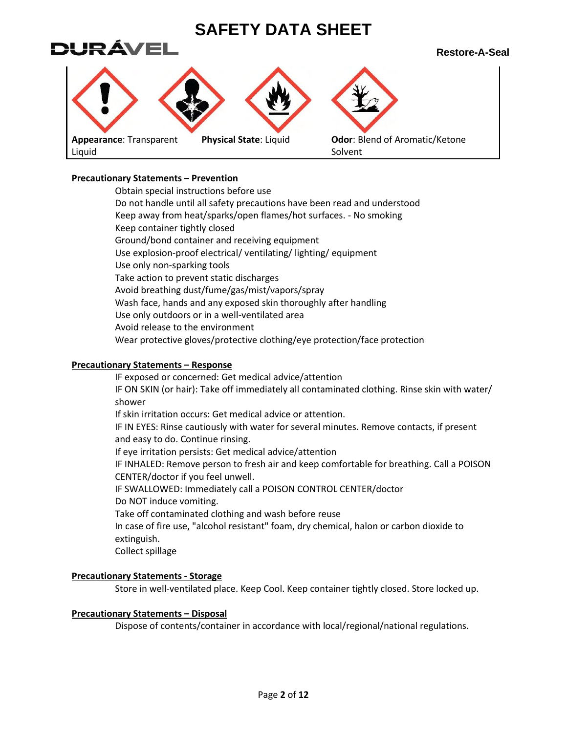

# **Precautionary Statements – Prevention**

Obtain special instructions before use Do not handle until all safety precautions have been read and understood Keep away from heat/sparks/open flames/hot surfaces. - No smoking Keep container tightly closed Ground/bond container and receiving equipment Use explosion-proof electrical/ ventilating/ lighting/ equipment Use only non-sparking tools Take action to prevent static discharges Avoid breathing dust/fume/gas/mist/vapors/spray Wash face, hands and any exposed skin thoroughly after handling Use only outdoors or in a well-ventilated area Avoid release to the environment Wear protective gloves/protective clothing/eye protection/face protection

# **Precautionary Statements – Response**

IF exposed or concerned: Get medical advice/attention IF ON SKIN (or hair): Take off immediately all contaminated clothing. Rinse skin with water/ shower If skin irritation occurs: Get medical advice or attention. IF IN EYES: Rinse cautiously with water for several minutes. Remove contacts, if present and easy to do. Continue rinsing. If eye irritation persists: Get medical advice/attention IF INHALED: Remove person to fresh air and keep comfortable for breathing. Call a POISON CENTER/doctor if you feel unwell. IF SWALLOWED: Immediately call a POISON CONTROL CENTER/doctor Do NOT induce vomiting. Take off contaminated clothing and wash before reuse In case of fire use, "alcohol resistant" foam, dry chemical, halon or carbon dioxide to extinguish. Collect spillage

# **Precautionary Statements - Storage**

Store in well-ventilated place. Keep Cool. Keep container tightly closed. Store locked up.

### **Precautionary Statements – Disposal**

Dispose of contents/container in accordance with local/regional/national regulations.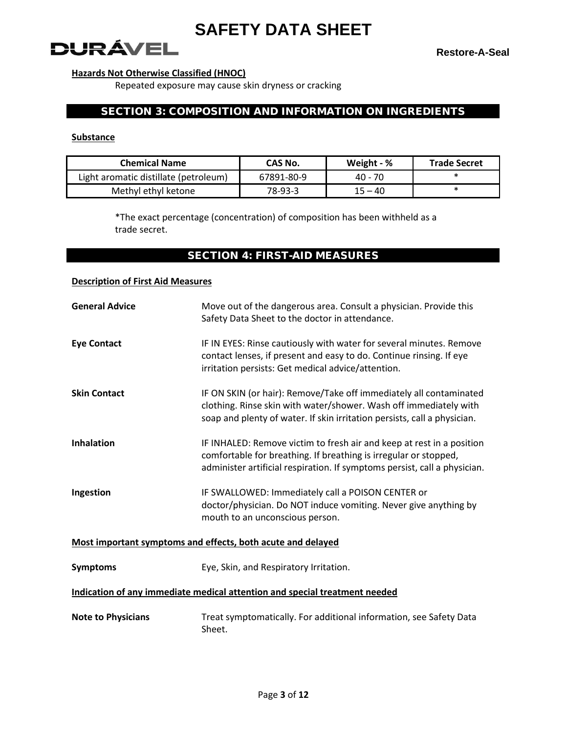**DURÁVEL** 

**Restore-A-Seal**

# **Hazards Not Otherwise Classified (HNOC)**

Repeated exposure may cause skin dryness or cracking

# SECTION 3: COMPOSITION AND INFORMATION ON INGREDIENTS

#### **Substance**

| <b>Chemical Name</b>                  | CAS No.    | Weight - % | <b>Trade Secret</b> |
|---------------------------------------|------------|------------|---------------------|
| Light aromatic distillate (petroleum) | 67891-80-9 | 40 - 70    |                     |
| Methyl ethyl ketone                   | 78-93-3    | $15 - 40$  |                     |

\*The exact percentage (concentration) of composition has been withheld as a trade secret.

# SECTION 4: FIRST-AID MEASURES

### **Description of First Aid Measures**

| <b>General Advice</b>     | Move out of the dangerous area. Consult a physician. Provide this<br>Safety Data Sheet to the doctor in attendance.                                                                                                    |
|---------------------------|------------------------------------------------------------------------------------------------------------------------------------------------------------------------------------------------------------------------|
| <b>Eye Contact</b>        | IF IN EYES: Rinse cautiously with water for several minutes. Remove<br>contact lenses, if present and easy to do. Continue rinsing. If eye<br>irritation persists: Get medical advice/attention.                       |
| <b>Skin Contact</b>       | IF ON SKIN (or hair): Remove/Take off immediately all contaminated<br>clothing. Rinse skin with water/shower. Wash off immediately with<br>soap and plenty of water. If skin irritation persists, call a physician.    |
| <b>Inhalation</b>         | IF INHALED: Remove victim to fresh air and keep at rest in a position<br>comfortable for breathing. If breathing is irregular or stopped,<br>administer artificial respiration. If symptoms persist, call a physician. |
| Ingestion                 | IF SWALLOWED: Immediately call a POISON CENTER or<br>doctor/physician. Do NOT induce vomiting. Never give anything by<br>mouth to an unconscious person.                                                               |
|                           | Most important symptoms and effects, both acute and delayed                                                                                                                                                            |
| <b>Symptoms</b>           | Eye, Skin, and Respiratory Irritation.                                                                                                                                                                                 |
|                           | Indication of any immediate medical attention and special treatment needed                                                                                                                                             |
| <b>Note to Physicians</b> | Treat symptomatically. For additional information, see Safety Data<br>Sheet.                                                                                                                                           |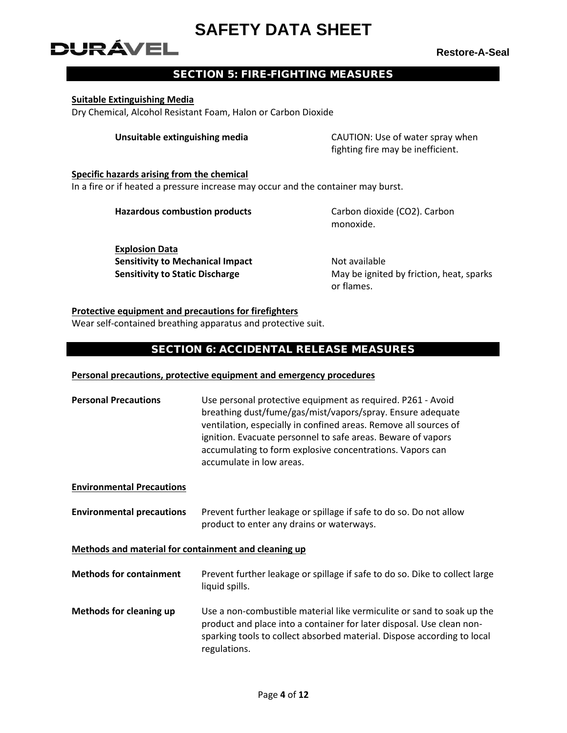# DURÁVEL

**Restore-A-Seal**

# SECTION 5: FIRE-FIGHTING MEASURES

### **Suitable Extinguishing Media**

Dry Chemical, Alcohol Resistant Foam, Halon or Carbon Dioxide

**Unsuitable extinguishing media** CAUTION: Use of water spray when fighting fire may be inefficient.

# **Specific hazards arising from the chemical** In a fire or if heated a pressure increase may occur and the container may burst.

**Hazardous combustion products** Carbon dioxide (CO2). Carbon

monoxide.

**Explosion Data Sensitivity to Mechanical Impact Not available** 

**Sensitivity to Static Discharge** May be ignited by friction, heat, sparks or flames.

# **Protective equipment and precautions for firefighters**

Wear self-contained breathing apparatus and protective suit.

# SECTION 6: ACCIDENTAL RELEASE MEASURES

### **Personal precautions, protective equipment and emergency procedures**

| <b>Personal Precautions</b>                          | Use personal protective equipment as required. P261 - Avoid<br>breathing dust/fume/gas/mist/vapors/spray. Ensure adequate<br>ventilation, especially in confined areas. Remove all sources of<br>ignition. Evacuate personnel to safe areas. Beware of vapors<br>accumulating to form explosive concentrations. Vapors can<br>accumulate in low areas. |
|------------------------------------------------------|--------------------------------------------------------------------------------------------------------------------------------------------------------------------------------------------------------------------------------------------------------------------------------------------------------------------------------------------------------|
| <b>Environmental Precautions</b>                     |                                                                                                                                                                                                                                                                                                                                                        |
| <b>Environmental precautions</b>                     | Prevent further leakage or spillage if safe to do so. Do not allow<br>product to enter any drains or waterways.                                                                                                                                                                                                                                        |
| Methods and material for containment and cleaning up |                                                                                                                                                                                                                                                                                                                                                        |

- **Methods for containment** Prevent further leakage or spillage if safe to do so. Dike to collect large liquid spills.
- **Methods for cleaning up** Use a non-combustible material like vermiculite or sand to soak up the product and place into a container for later disposal. Use clean nonsparking tools to collect absorbed material. Dispose according to local regulations.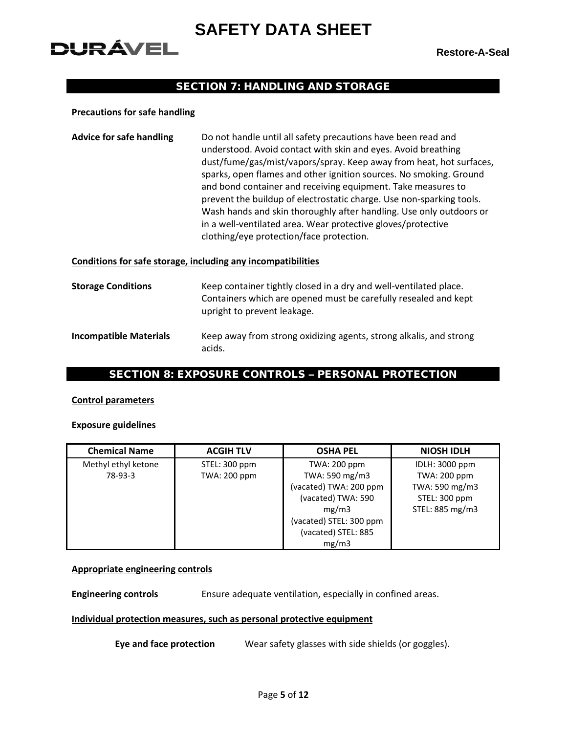# **DURÁVEL**

**Restore-A-Seal**

# SECTION 7: HANDLING AND STORAGE

### **Precautions for safe handling**

| <b>Advice for safe handling</b> | Do not handle until all safety precautions have been read and<br>understood. Avoid contact with skin and eyes. Avoid breathing |
|---------------------------------|--------------------------------------------------------------------------------------------------------------------------------|
|                                 | dust/fume/gas/mist/vapors/spray. Keep away from heat, hot surfaces,                                                            |
|                                 | sparks, open flames and other ignition sources. No smoking. Ground                                                             |
|                                 | and bond container and receiving equipment. Take measures to                                                                   |
|                                 | prevent the buildup of electrostatic charge. Use non-sparking tools.                                                           |
|                                 | Wash hands and skin thoroughly after handling. Use only outdoors or                                                            |
|                                 | in a well-ventilated area. Wear protective gloves/protective                                                                   |
|                                 | clothing/eye protection/face protection.                                                                                       |

#### **Conditions for safe storage, including any incompatibilities**

| <b>Storage Conditions</b>     | Keep container tightly closed in a dry and well-ventilated place.<br>Containers which are opened must be carefully resealed and kept<br>upright to prevent leakage. |
|-------------------------------|---------------------------------------------------------------------------------------------------------------------------------------------------------------------|
| <b>Incompatible Materials</b> | Keep away from strong oxidizing agents, strong alkalis, and strong<br>acids.                                                                                        |

# SECTION 8: EXPOSURE CONTROLS – PERSONAL PROTECTION

### **Control parameters**

#### **Exposure guidelines**

| <b>Chemical Name</b> | <b>ACGIH TLV</b>    | <b>OSHA PEL</b>         | <b>NIOSH IDLH</b>   |
|----------------------|---------------------|-------------------------|---------------------|
| Methyl ethyl ketone  | STEL: 300 ppm       | TWA: 200 ppm            | IDLH: 3000 ppm      |
| 78-93-3              | <b>TWA: 200 ppm</b> | TWA: 590 mg/m3          | <b>TWA: 200 ppm</b> |
|                      |                     | (vacated) TWA: 200 ppm  | TWA: 590 mg/m3      |
|                      |                     | (vacated) TWA: 590      | STEL: 300 ppm       |
|                      |                     | mg/m3                   | STEL: 885 mg/m3     |
|                      |                     | (vacated) STEL: 300 ppm |                     |
|                      |                     | (vacated) STEL: 885     |                     |
|                      |                     | mg/m3                   |                     |

### **Appropriate engineering controls**

**Engineering controls** Ensure adequate ventilation, especially in confined areas.

### **Individual protection measures, such as personal protective equipment**

**Eye and face protection** Wear safety glasses with side shields (or goggles).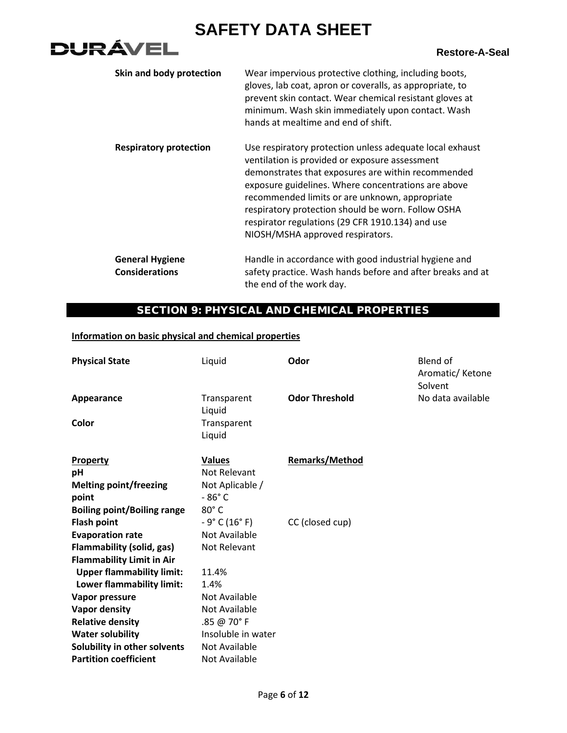# **DURÁVEL**

| Skin and body protection                        | Wear impervious protective clothing, including boots,<br>gloves, lab coat, apron or coveralls, as appropriate, to<br>prevent skin contact. Wear chemical resistant gloves at<br>minimum. Wash skin immediately upon contact. Wash<br>hands at mealtime and end of shift.                                                                                                                                                |
|-------------------------------------------------|-------------------------------------------------------------------------------------------------------------------------------------------------------------------------------------------------------------------------------------------------------------------------------------------------------------------------------------------------------------------------------------------------------------------------|
| <b>Respiratory protection</b>                   | Use respiratory protection unless adequate local exhaust<br>ventilation is provided or exposure assessment<br>demonstrates that exposures are within recommended<br>exposure guidelines. Where concentrations are above<br>recommended limits or are unknown, appropriate<br>respiratory protection should be worn. Follow OSHA<br>respirator regulations (29 CFR 1910.134) and use<br>NIOSH/MSHA approved respirators. |
| <b>General Hygiene</b><br><b>Considerations</b> | Handle in accordance with good industrial hygiene and<br>safety practice. Wash hands before and after breaks and at<br>the end of the work day.                                                                                                                                                                                                                                                                         |

# SECTION 9: PHYSICAL AND CHEMICAL PROPERTIES

# **Information on basic physical and chemical properties**

| <b>Physical State</b>              | Liquid                | Odor                  | Blend of<br>Aromatic/Ketone<br>Solvent |
|------------------------------------|-----------------------|-----------------------|----------------------------------------|
| Appearance                         | Transparent<br>Liquid | <b>Odor Threshold</b> | No data available                      |
| Color                              | Transparent<br>Liquid |                       |                                        |
| Property                           | <b>Values</b>         | <b>Remarks/Method</b> |                                        |
| рH                                 | Not Relevant          |                       |                                        |
| <b>Melting point/freezing</b>      | Not Aplicable /       |                       |                                        |
| point                              | $-86^\circ$ C         |                       |                                        |
| <b>Boiling point/Boiling range</b> | $80^\circ$ C          |                       |                                        |
| <b>Flash point</b>                 | $-9°$ C (16° F)       | CC (closed cup)       |                                        |
| <b>Evaporation rate</b>            | Not Available         |                       |                                        |
| <b>Flammability (solid, gas)</b>   | Not Relevant          |                       |                                        |
| <b>Flammability Limit in Air</b>   |                       |                       |                                        |
| <b>Upper flammability limit:</b>   | 11.4%                 |                       |                                        |
| Lower flammability limit:          | 1.4%                  |                       |                                        |
| Vapor pressure                     | Not Available         |                       |                                        |
| <b>Vapor density</b>               | Not Available         |                       |                                        |
| <b>Relative density</b>            | .85 @ 70°F            |                       |                                        |
| <b>Water solubility</b>            | Insoluble in water    |                       |                                        |
| Solubility in other solvents       | Not Available         |                       |                                        |
| <b>Partition coefficient</b>       | Not Available         |                       |                                        |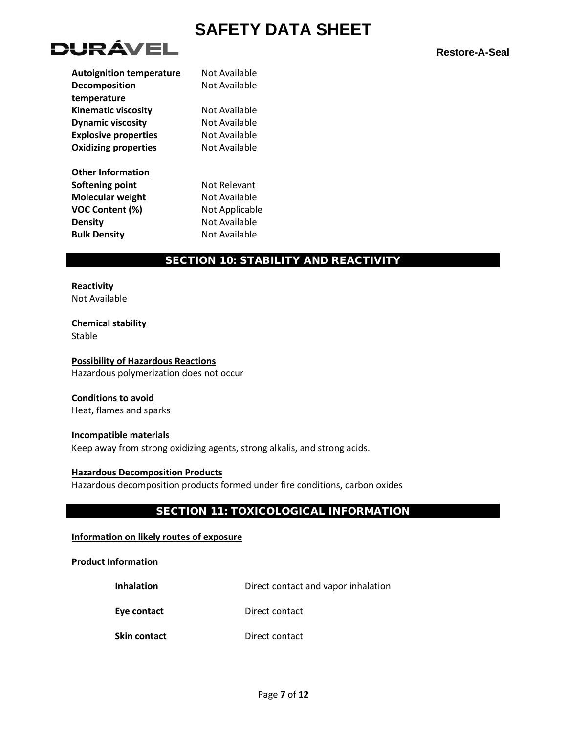

| <b>Autoignition temperature</b> | Not Available  |
|---------------------------------|----------------|
| <b>Decomposition</b>            | Not Available  |
| temperature                     |                |
| <b>Kinematic viscosity</b>      | Not Available  |
| <b>Dynamic viscosity</b>        | Not Available  |
| <b>Explosive properties</b>     | Not Available  |
| <b>Oxidizing properties</b>     | Not Available  |
| <b>Other Information</b>        |                |
| Softening point                 | Not Relevant   |
| <b>Molecular weight</b>         | Not Available  |
| <b>VOC Content (%)</b>          | Not Applicable |
| <b>Density</b>                  | Not Available  |
| <b>Bulk Density</b>             | Not Available  |
|                                 |                |

# SECTION 10: STABILITY AND REACTIVITY

**Reactivity** Not Available

**Chemical stability** Stable

**Possibility of Hazardous Reactions** Hazardous polymerization does not occur

#### **Conditions to avoid**

Heat, flames and sparks

**Incompatible materials** Keep away from strong oxidizing agents, strong alkalis, and strong acids.

**Hazardous Decomposition Products** Hazardous decomposition products formed under fire conditions, carbon oxides

# SECTION 11: TOXICOLOGICAL INFORMATION

**Information on likely routes of exposure**

**Product Information**

**Inhalation Direct contact and vapor inhalation** 

**Eye contact** Direct contact

**Skin contact** Direct contact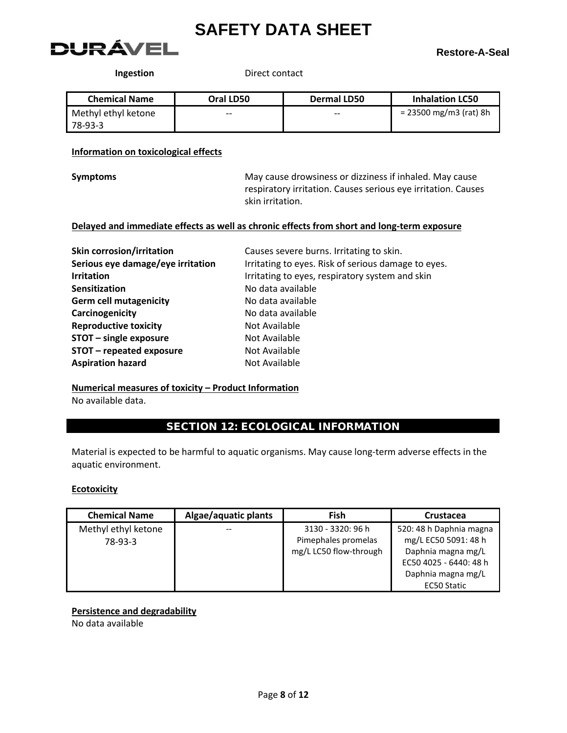

**Ingestion** Direct contact

| <b>Chemical Name</b> | Oral LD50 | Dermal LD50 | <b>Inhalation LC50</b> |
|----------------------|-----------|-------------|------------------------|
| Methyl ethyl ketone  | $- -$     | $- -$       | = 23500 mg/m3 (rat) 8h |
| 78-93-3              |           |             |                        |

# **Information on toxicological effects**

| <b>Symptoms</b> |
|-----------------|
|-----------------|

**Symptoms** May cause drowsiness or dizziness if inhaled. May cause respiratory irritation. Causes serious eye irritation. Causes skin irritation.

# **Delayed and immediate effects as well as chronic effects from short and long-term exposure**

| <b>Skin corrosion/irritation</b>  | Causes severe burns. Irritating to skin.            |
|-----------------------------------|-----------------------------------------------------|
| Serious eye damage/eye irritation | Irritating to eyes. Risk of serious damage to eyes. |
| <b>Irritation</b>                 | Irritating to eyes, respiratory system and skin     |
| <b>Sensitization</b>              | No data available                                   |
| <b>Germ cell mutagenicity</b>     | No data available                                   |
| Carcinogenicity                   | No data available                                   |
| <b>Reproductive toxicity</b>      | Not Available                                       |
| STOT - single exposure            | Not Available                                       |
| STOT - repeated exposure          | Not Available                                       |
| <b>Aspiration hazard</b>          | Not Available                                       |

### **Numerical measures of toxicity – Product Information** No available data.

# SECTION 12: ECOLOGICAL INFORMATION

Material is expected to be harmful to aquatic organisms. May cause long-term adverse effects in the aquatic environment.

### **Ecotoxicity**

| <b>Chemical Name</b>           | Algae/aquatic plants | Fish                                                               | Crustacea                                                                                                             |
|--------------------------------|----------------------|--------------------------------------------------------------------|-----------------------------------------------------------------------------------------------------------------------|
| Methyl ethyl ketone<br>78-93-3 |                      | 3130 - 3320: 96 h<br>Pimephales promelas<br>mg/L LC50 flow-through | 520: 48 h Daphnia magna<br>mg/L EC50 5091: 48 h<br>Daphnia magna mg/L<br>EC50 4025 - 6440: 48 h<br>Daphnia magna mg/L |
|                                |                      |                                                                    | <b>EC50 Static</b>                                                                                                    |

# **Persistence and degradability**

No data available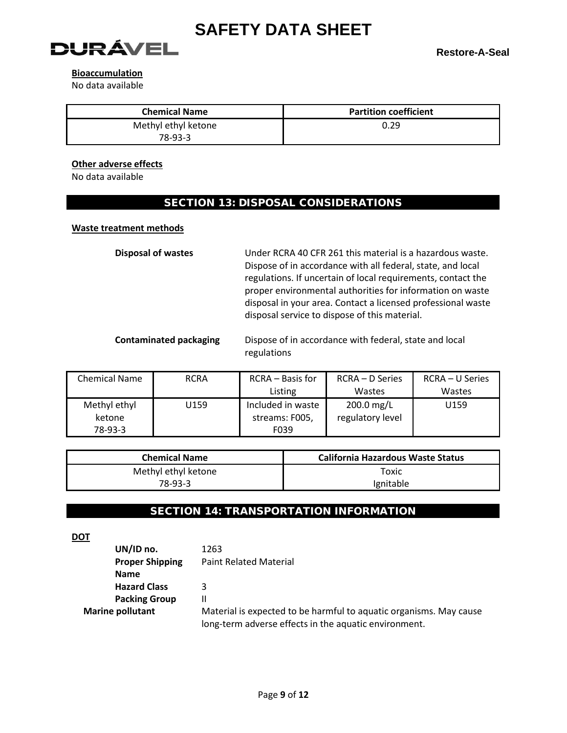

# **Bioaccumulation**

No data available

| <b>Chemical Name</b> | <b>Partition coefficient</b> |
|----------------------|------------------------------|
| Methyl ethyl ketone  | 0.29                         |
| 78-93-3              |                              |

# **Other adverse effects**

No data available

# SECTION 13: DISPOSAL CONSIDERATIONS

# **Waste treatment methods**

**Disposal of wastes** Under RCRA 40 CFR 261 this material is a hazardous waste. Dispose of in accordance with all federal, state, and local regulations. If uncertain of local requirements, contact the proper environmental authorities for information on waste disposal in your area. Contact a licensed professional waste disposal service to dispose of this material.

**Contaminated packaging** Dispose of in accordance with federal, state and local regulations

| <b>Chemical Name</b> | <b>RCRA</b> | RCRA - Basis for  | RCRA – D Series  | RCRA – U Series |
|----------------------|-------------|-------------------|------------------|-----------------|
|                      |             | Listing           | Wastes           | Wastes          |
| Methyl ethyl         | U159        | Included in waste | 200.0 mg/L       | U159            |
| ketone               |             | streams: F005,    | regulatory level |                 |
| 78-93-3              |             | F039              |                  |                 |

| <b>Chemical Name</b> | California Hazardous Waste Status |
|----------------------|-----------------------------------|
| Methyl ethyl ketone  | Toxic                             |
| 78-93-3              | Ignitable                         |

# SECTION 14: TRANSPORTATION INFORMATION

**DOT**

| UN/ID no.               | 1263                                                               |
|-------------------------|--------------------------------------------------------------------|
| <b>Proper Shipping</b>  | <b>Paint Related Material</b>                                      |
| <b>Name</b>             |                                                                    |
| <b>Hazard Class</b>     | 3                                                                  |
| <b>Packing Group</b>    | Ш                                                                  |
| <b>Marine pollutant</b> | Material is expected to be harmful to aquatic organisms. May cause |
|                         | long-term adverse effects in the aquatic environment.              |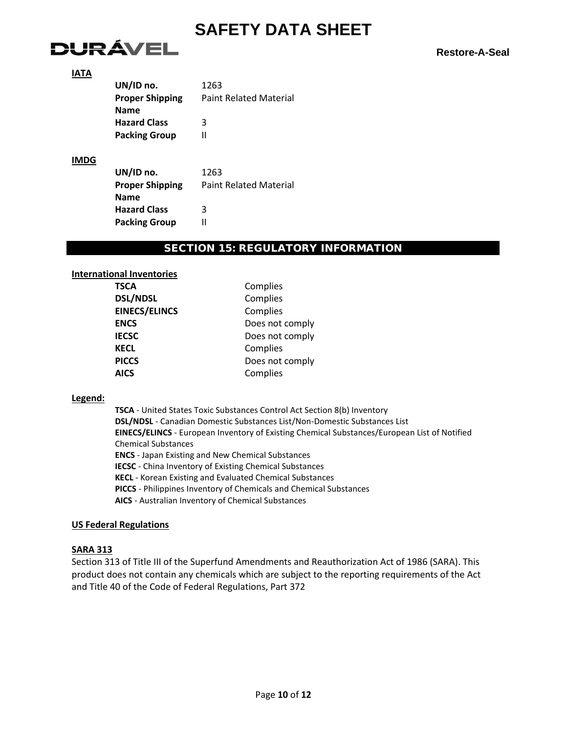

### **IATA**

| UN/ID no.              | 1263                          |
|------------------------|-------------------------------|
| <b>Proper Shipping</b> | <b>Paint Related Material</b> |
| Name                   |                               |
| <b>Hazard Class</b>    | 3                             |
| <b>Packing Group</b>   | Ш                             |
|                        |                               |
|                        |                               |

# **IMDG**

| UN/ID no.              | 1263                          |
|------------------------|-------------------------------|
| <b>Proper Shipping</b> | <b>Paint Related Material</b> |
| Name                   |                               |
| <b>Hazard Class</b>    | ર                             |
| <b>Packing Group</b>   |                               |

### SECTION 15: REGULATORY INFORMATION

**ENCS** Does not comply Does not comply

**Poes not comply** 

**Complies Complies Complies** 

**Complies** 

**AICS** Complies

#### **International Inventories**

### **Legend:**

**TSCA** - United States Toxic Substances Control Act Section 8(b) Inventory **DSL/NDSL** - Canadian Domestic Substances List/Non-Domestic Substances List **EINECS/ELINCS** - European Inventory of Existing Chemical Substances/European List of Notified Chemical Substances **ENCS** - Japan Existing and New Chemical Substances **IECSC** - China Inventory of Existing Chemical Substances **KECL** - Korean Existing and Evaluated Chemical Substances **PICCS** - Philippines Inventory of Chemicals and Chemical Substances **AICS** - Australian Inventory of Chemical Substances

### **US Federal Regulations**

### **SARA 313**

Section 313 of Title III of the Superfund Amendments and Reauthorization Act of 1986 (SARA). This product does not contain any chemicals which are subject to the reporting requirements of the Act and Title 40 of the Code of Federal Regulations, Part 372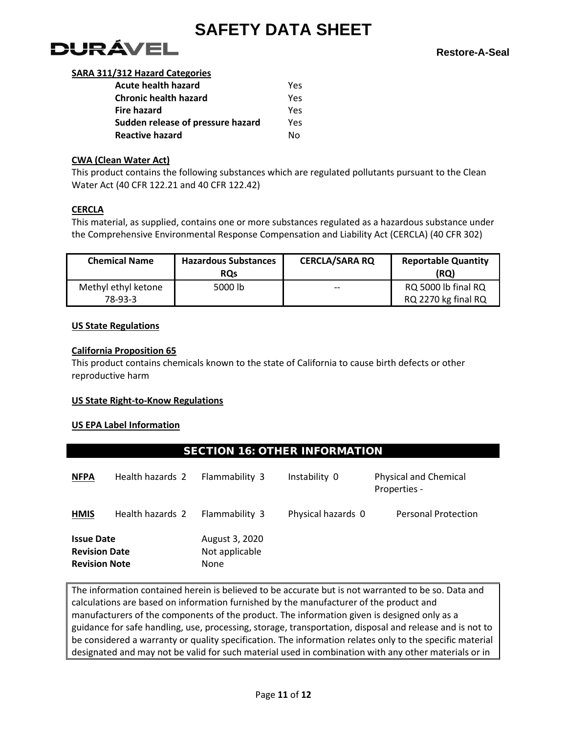

### **SARA 311/312 Hazard Categories**

| <b>Acute health hazard</b>        | Yes |
|-----------------------------------|-----|
| <b>Chronic health hazard</b>      | Yes |
| Fire hazard                       | Yes |
| Sudden release of pressure hazard | Yes |
| Reactive hazard                   | N٥  |

# **CWA (Clean Water Act)**

This product contains the following substances which are regulated pollutants pursuant to the Clean Water Act (40 CFR 122.21 and 40 CFR 122.42)

# **CERCLA**

This material, as supplied, contains one or more substances regulated as a hazardous substance under the Comprehensive Environmental Response Compensation and Liability Act (CERCLA) (40 CFR 302)

| <b>Chemical Name</b>           | <b>Hazardous Substances</b><br><b>ROs</b> | <b>CERCLA/SARA RQ</b> | <b>Reportable Quantity</b><br>(RQ)         |
|--------------------------------|-------------------------------------------|-----------------------|--------------------------------------------|
| Methyl ethyl ketone<br>78-93-3 | 5000 lb                                   | $- -$                 | RQ 5000 lb final RQ<br>RQ 2270 kg final RQ |

# **US State Regulations**

# **California Proposition 65**

This product contains chemicals known to the state of California to cause birth defects or other reproductive harm

# **US State Right-to-Know Regulations**

# **US EPA Label Information**

# SECTION 16: OTHER INFORMATION

| <b>NFPA</b>                                                       | Health hazards 2 | Flammability 3                           | Instability 0      | <b>Physical and Chemical</b><br>Properties - |
|-------------------------------------------------------------------|------------------|------------------------------------------|--------------------|----------------------------------------------|
| <b>HMIS</b>                                                       | Health hazards 2 | Flammability 3                           | Physical hazards 0 | <b>Personal Protection</b>                   |
| <b>Issue Date</b><br><b>Revision Date</b><br><b>Revision Note</b> |                  | August 3, 2020<br>Not applicable<br>None |                    |                                              |

The information contained herein is believed to be accurate but is not warranted to be so. Data and calculations are based on information furnished by the manufacturer of the product and manufacturers of the components of the product. The information given is designed only as a guidance for safe handling, use, processing, storage, transportation, disposal and release and is not to be considered a warranty or quality specification. The information relates only to the specific material designated and may not be valid for such material used in combination with any other materials or in